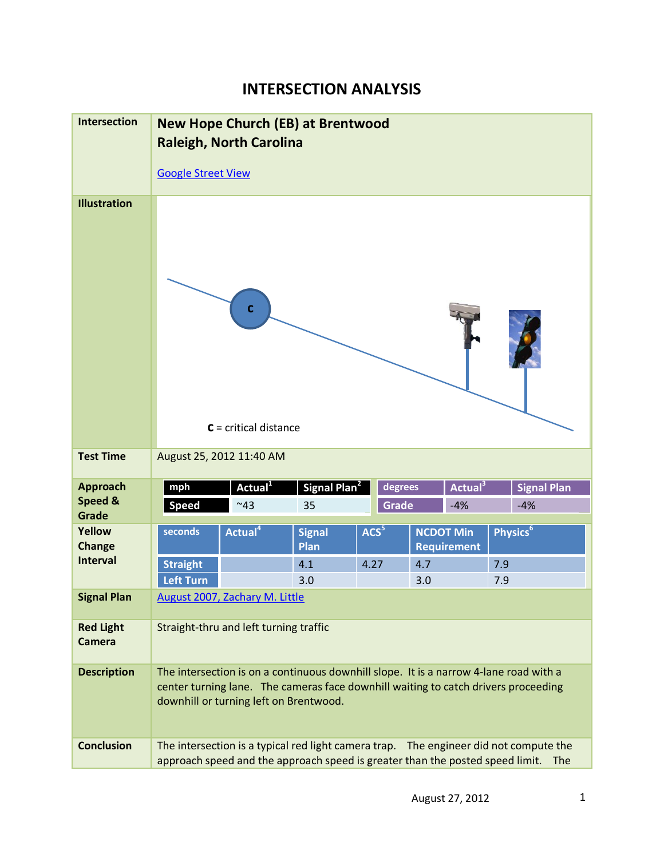## **INTERSECTION ANALYSIS**

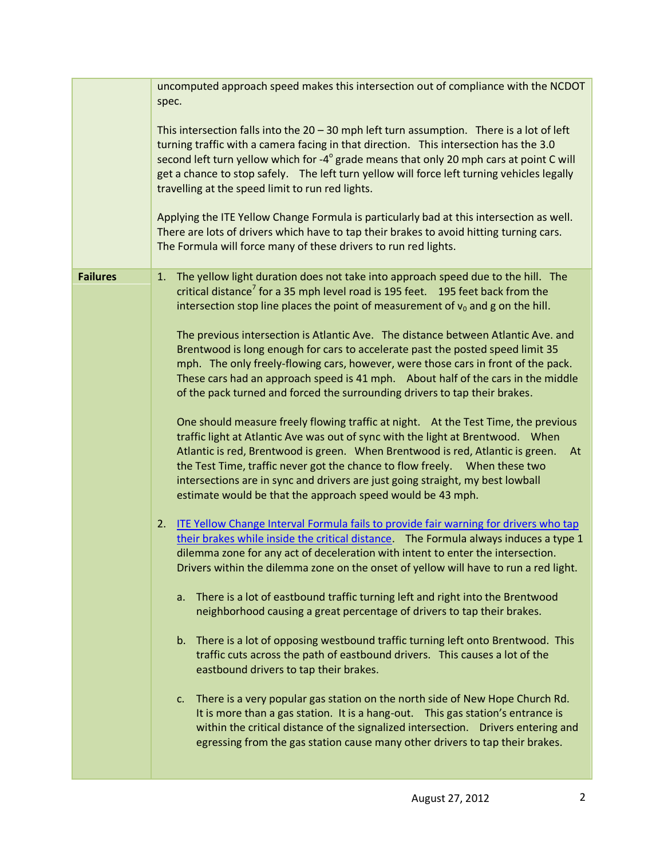|                 | uncomputed approach speed makes this intersection out of compliance with the NCDOT<br>spec.                                                                                                                                                                                                                                                                                                                                                                                                                                                                                                                                                                                                                                                                                                                                                                                                                                                                                                                                                                                                                                                                                                                                                                                                                                                                                                                                                                                                                                                                                                                                                                                                                                                                                                                                                                                                                                                                                                                                                                                                                                                                                                                                                                                                                             |
|-----------------|-------------------------------------------------------------------------------------------------------------------------------------------------------------------------------------------------------------------------------------------------------------------------------------------------------------------------------------------------------------------------------------------------------------------------------------------------------------------------------------------------------------------------------------------------------------------------------------------------------------------------------------------------------------------------------------------------------------------------------------------------------------------------------------------------------------------------------------------------------------------------------------------------------------------------------------------------------------------------------------------------------------------------------------------------------------------------------------------------------------------------------------------------------------------------------------------------------------------------------------------------------------------------------------------------------------------------------------------------------------------------------------------------------------------------------------------------------------------------------------------------------------------------------------------------------------------------------------------------------------------------------------------------------------------------------------------------------------------------------------------------------------------------------------------------------------------------------------------------------------------------------------------------------------------------------------------------------------------------------------------------------------------------------------------------------------------------------------------------------------------------------------------------------------------------------------------------------------------------------------------------------------------------------------------------------------------------|
|                 | This intersection falls into the $20 - 30$ mph left turn assumption. There is a lot of left<br>turning traffic with a camera facing in that direction. This intersection has the 3.0<br>second left turn yellow which for -4° grade means that only 20 mph cars at point C will<br>get a chance to stop safely. The left turn yellow will force left turning vehicles legally<br>travelling at the speed limit to run red lights.<br>Applying the ITE Yellow Change Formula is particularly bad at this intersection as well.<br>There are lots of drivers which have to tap their brakes to avoid hitting turning cars.<br>The Formula will force many of these drivers to run red lights.                                                                                                                                                                                                                                                                                                                                                                                                                                                                                                                                                                                                                                                                                                                                                                                                                                                                                                                                                                                                                                                                                                                                                                                                                                                                                                                                                                                                                                                                                                                                                                                                                             |
| <b>Failures</b> | The yellow light duration does not take into approach speed due to the hill. The<br>1.<br>critical distance <sup>7</sup> for a 35 mph level road is 195 feet. 195 feet back from the<br>intersection stop line places the point of measurement of $v_0$ and g on the hill.<br>The previous intersection is Atlantic Ave. The distance between Atlantic Ave. and<br>Brentwood is long enough for cars to accelerate past the posted speed limit 35<br>mph. The only freely-flowing cars, however, were those cars in front of the pack.<br>These cars had an approach speed is 41 mph. About half of the cars in the middle<br>of the pack turned and forced the surrounding drivers to tap their brakes.<br>One should measure freely flowing traffic at night. At the Test Time, the previous<br>traffic light at Atlantic Ave was out of sync with the light at Brentwood.  When<br>Atlantic is red, Brentwood is green. When Brentwood is red, Atlantic is green.<br>At<br>the Test Time, traffic never got the chance to flow freely.    Nhen these two<br>intersections are in sync and drivers are just going straight, my best lowball<br>estimate would be that the approach speed would be 43 mph.<br>ITE Yellow Change Interval Formula fails to provide fair warning for drivers who tap<br>2.<br>their brakes while inside the critical distance. The Formula always induces a type 1<br>dilemma zone for any act of deceleration with intent to enter the intersection.<br>Drivers within the dilemma zone on the onset of yellow will have to run a red light.<br>There is a lot of eastbound traffic turning left and right into the Brentwood<br>a.<br>neighborhood causing a great percentage of drivers to tap their brakes.<br>There is a lot of opposing westbound traffic turning left onto Brentwood. This<br>$b_{\cdot}$<br>traffic cuts across the path of eastbound drivers. This causes a lot of the<br>eastbound drivers to tap their brakes.<br>There is a very popular gas station on the north side of New Hope Church Rd.<br>C.<br>It is more than a gas station. It is a hang-out. This gas station's entrance is<br>within the critical distance of the signalized intersection.  Drivers entering and<br>egressing from the gas station cause many other drivers to tap their brakes. |